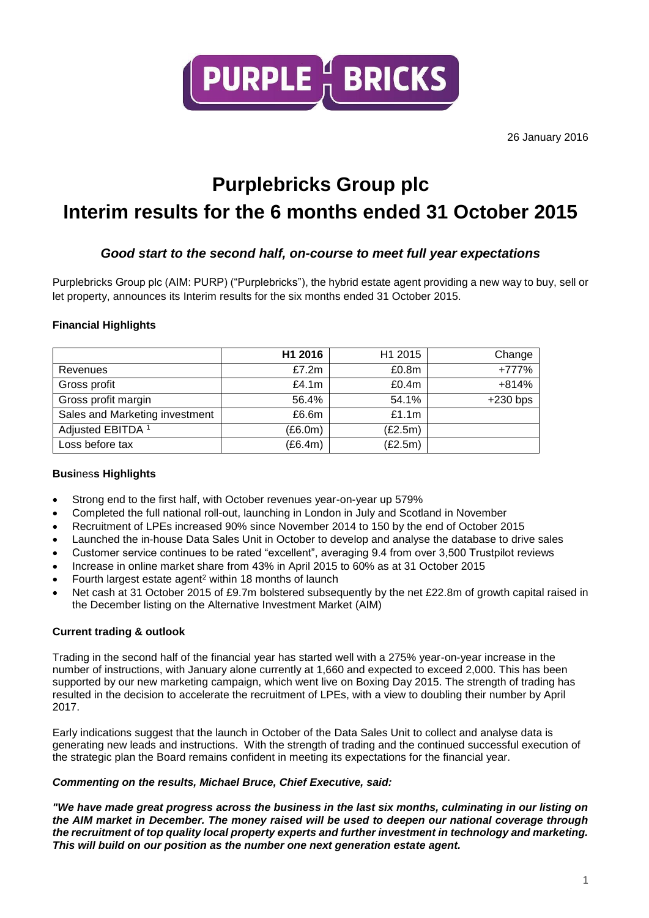

26 January 2016

### **Purplebricks Group plc Interim results for the 6 months ended 31 October 2015**

### *Good start to the second half, on-course to meet full year expectations*

Purplebricks Group plc (AIM: PURP) ("Purplebricks"), the hybrid estate agent providing a new way to buy, sell or let property, announces its Interim results for the six months ended 31 October 2015.

### **Financial Highlights**

|                                | H1 2016 | H1 2015 | Change     |
|--------------------------------|---------|---------|------------|
| Revenues                       | £7.2m   | £0.8m   | +777%      |
| Gross profit                   | £4.1m   | £0.4m   | $+814%$    |
| Gross profit margin            | 56.4%   | 54.1%   | $+230$ bps |
| Sales and Marketing investment | £6.6m   | £1.1m   |            |
| Adjusted EBITDA <sup>1</sup>   | (E6.0m) | (E2.5m) |            |
| Loss before tax                | (E6.4m) | (E2.5m) |            |

### **Busi**nes**s Highlights**

- Strong end to the first half, with October revenues year-on-year up 579%
- Completed the full national roll-out, launching in London in July and Scotland in November
- Recruitment of LPEs increased 90% since November 2014 to 150 by the end of October 2015
- Launched the in-house Data Sales Unit in October to develop and analyse the database to drive sales
- Customer service continues to be rated "excellent", averaging 9.4 from over 3,500 Trustpilot reviews
- Increase in online market share from 43% in April 2015 to 60% as at 31 October 2015
- Fourth largest estate agent<sup>2</sup> within 18 months of launch
- Net cash at 31 October 2015 of £9.7m bolstered subsequently by the net £22.8m of growth capital raised in the December listing on the Alternative Investment Market (AIM)

### **Current trading & outlook**

Trading in the second half of the financial year has started well with a 275% year-on-year increase in the number of instructions, with January alone currently at 1,660 and expected to exceed 2,000. This has been supported by our new marketing campaign, which went live on Boxing Day 2015. The strength of trading has resulted in the decision to accelerate the recruitment of LPEs, with a view to doubling their number by April 2017.

Early indications suggest that the launch in October of the Data Sales Unit to collect and analyse data is generating new leads and instructions. With the strength of trading and the continued successful execution of the strategic plan the Board remains confident in meeting its expectations for the financial year.

### *Commenting on the results, Michael Bruce, Chief Executive, said:*

*"We have made great progress across the business in the last six months, culminating in our listing on the AIM market in December. The money raised will be used to deepen our national coverage through the recruitment of top quality local property experts and further investment in technology and marketing. This will build on our position as the number one next generation estate agent.*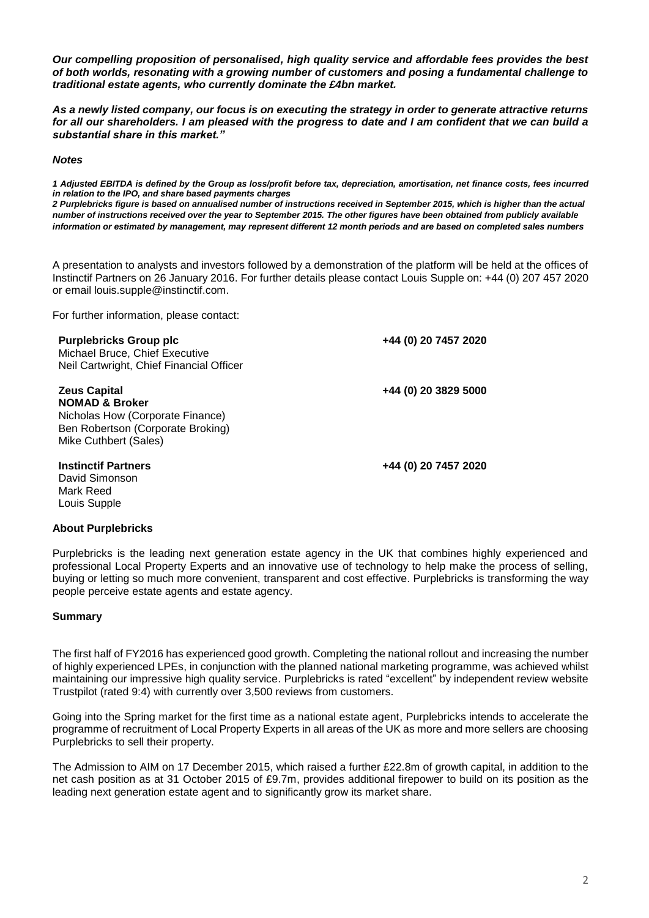*Our compelling proposition of personalised, high quality service and affordable fees provides the best of both worlds, resonating with a growing number of customers and posing a fundamental challenge to traditional estate agents, who currently dominate the £4bn market.* 

*As a newly listed company, our focus is on executing the strategy in order to generate attractive returns for all our shareholders. I am pleased with the progress to date and I am confident that we can build a substantial share in this market."* 

#### *Notes*

*1 Adjusted EBITDA is defined by the Group as loss/profit before tax, depreciation, amortisation, net finance costs, fees incurred in relation to the IPO, and share based payments charges*

*2 Purplebricks figure is based on annualised number of instructions received in September 2015, which is higher than the actual number of instructions received over the year to September 2015. The other figures have been obtained from publicly available information or estimated by management, may represent different 12 month periods and are based on completed sales numbers*

A presentation to analysts and investors followed by a demonstration of the platform will be held at the offices of Instinctif Partners on 26 January 2016. For further details please contact Louis Supple on: +44 (0) 207 457 2020 or email louis.supple@instinctif.com.

For further information, please contact:

| <b>Purplebricks Group plc</b><br>Michael Bruce, Chief Executive<br>Neil Cartwright, Chief Financial Officer                                        | +44 (0) 20 7457 2020 |
|----------------------------------------------------------------------------------------------------------------------------------------------------|----------------------|
| <b>Zeus Capital</b><br><b>NOMAD &amp; Broker</b><br>Nicholas How (Corporate Finance)<br>Ben Robertson (Corporate Broking)<br>Mike Cuthbert (Sales) | +44 (0) 20 3829 5000 |
| <b>Instinctif Partners</b><br>David Simonson<br>Mark Reed<br>Louis Supple                                                                          | +44 (0) 20 7457 2020 |

#### **About Purplebricks**

Purplebricks is the leading next generation estate agency in the UK that combines highly experienced and professional Local Property Experts and an innovative use of technology to help make the process of selling, buying or letting so much more convenient, transparent and cost effective. Purplebricks is transforming the way people perceive estate agents and estate agency.

### **Summary**

The first half of FY2016 has experienced good growth. Completing the national rollout and increasing the number of highly experienced LPEs, in conjunction with the planned national marketing programme, was achieved whilst maintaining our impressive high quality service. Purplebricks is rated "excellent" by independent review website Trustpilot (rated 9:4) with currently over 3,500 reviews from customers.

Going into the Spring market for the first time as a national estate agent, Purplebricks intends to accelerate the programme of recruitment of Local Property Experts in all areas of the UK as more and more sellers are choosing Purplebricks to sell their property.

The Admission to AIM on 17 December 2015, which raised a further £22.8m of growth capital, in addition to the net cash position as at 31 October 2015 of £9.7m, provides additional firepower to build on its position as the leading next generation estate agent and to significantly grow its market share.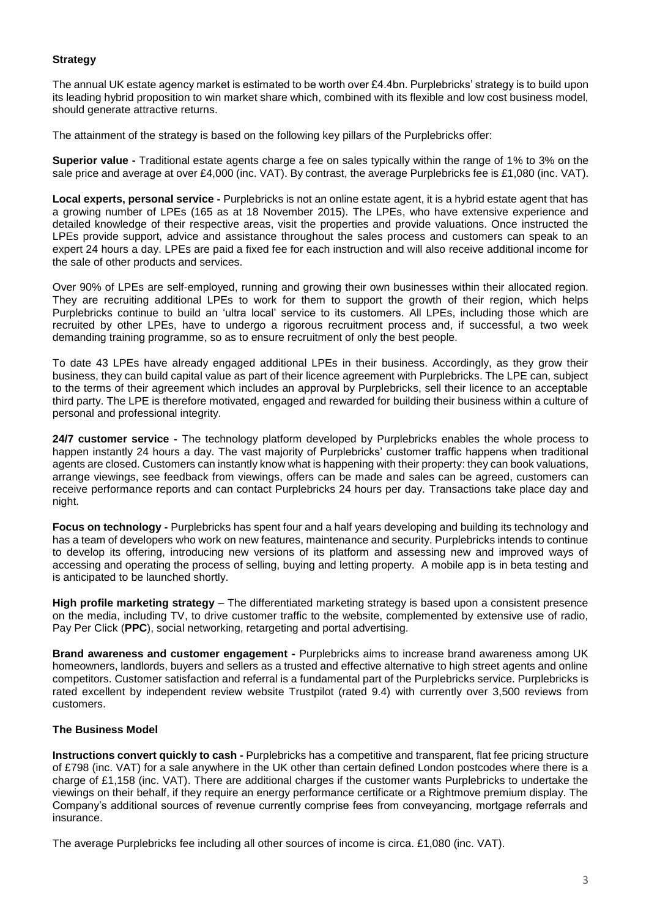### **Strategy**

The annual UK estate agency market is estimated to be worth over £4.4bn. Purplebricks' strategy is to build upon its leading hybrid proposition to win market share which, combined with its flexible and low cost business model, should generate attractive returns.

The attainment of the strategy is based on the following key pillars of the Purplebricks offer:

**Superior value -** Traditional estate agents charge a fee on sales typically within the range of 1% to 3% on the sale price and average at over £4,000 (inc. VAT). By contrast, the average Purplebricks fee is £1,080 (inc. VAT).

**Local experts, personal service -** Purplebricks is not an online estate agent, it is a hybrid estate agent that has a growing number of LPEs (165 as at 18 November 2015). The LPEs, who have extensive experience and detailed knowledge of their respective areas, visit the properties and provide valuations. Once instructed the LPEs provide support, advice and assistance throughout the sales process and customers can speak to an expert 24 hours a day. LPEs are paid a fixed fee for each instruction and will also receive additional income for the sale of other products and services.

Over 90% of LPEs are self-employed, running and growing their own businesses within their allocated region. They are recruiting additional LPEs to work for them to support the growth of their region, which helps Purplebricks continue to build an 'ultra local' service to its customers. All LPEs, including those which are recruited by other LPEs, have to undergo a rigorous recruitment process and, if successful, a two week demanding training programme, so as to ensure recruitment of only the best people.

To date 43 LPEs have already engaged additional LPEs in their business. Accordingly, as they grow their business, they can build capital value as part of their licence agreement with Purplebricks. The LPE can, subject to the terms of their agreement which includes an approval by Purplebricks, sell their licence to an acceptable third party. The LPE is therefore motivated, engaged and rewarded for building their business within a culture of personal and professional integrity.

**24/7 customer service -** The technology platform developed by Purplebricks enables the whole process to happen instantly 24 hours a day. The vast majority of Purplebricks' customer traffic happens when traditional agents are closed. Customers can instantly know what is happening with their property: they can book valuations, arrange viewings, see feedback from viewings, offers can be made and sales can be agreed, customers can receive performance reports and can contact Purplebricks 24 hours per day. Transactions take place day and night.

**Focus on technology -** Purplebricks has spent four and a half years developing and building its technology and has a team of developers who work on new features, maintenance and security. Purplebricks intends to continue to develop its offering, introducing new versions of its platform and assessing new and improved ways of accessing and operating the process of selling, buying and letting property. A mobile app is in beta testing and is anticipated to be launched shortly.

**High profile marketing strategy** – The differentiated marketing strategy is based upon a consistent presence on the media, including TV, to drive customer traffic to the website, complemented by extensive use of radio, Pay Per Click (**PPC**), social networking, retargeting and portal advertising.

**Brand awareness and customer engagement -** Purplebricks aims to increase brand awareness among UK homeowners, landlords, buyers and sellers as a trusted and effective alternative to high street agents and online competitors. Customer satisfaction and referral is a fundamental part of the Purplebricks service. Purplebricks is rated excellent by independent review website Trustpilot (rated 9.4) with currently over 3,500 reviews from customers.

### **The Business Model**

**Instructions convert quickly to cash -** Purplebricks has a competitive and transparent, flat fee pricing structure of £798 (inc. VAT) for a sale anywhere in the UK other than certain defined London postcodes where there is a charge of £1,158 (inc. VAT). There are additional charges if the customer wants Purplebricks to undertake the viewings on their behalf, if they require an energy performance certificate or a Rightmove premium display. The Company's additional sources of revenue currently comprise fees from conveyancing, mortgage referrals and insurance.

The average Purplebricks fee including all other sources of income is circa. £1,080 (inc. VAT).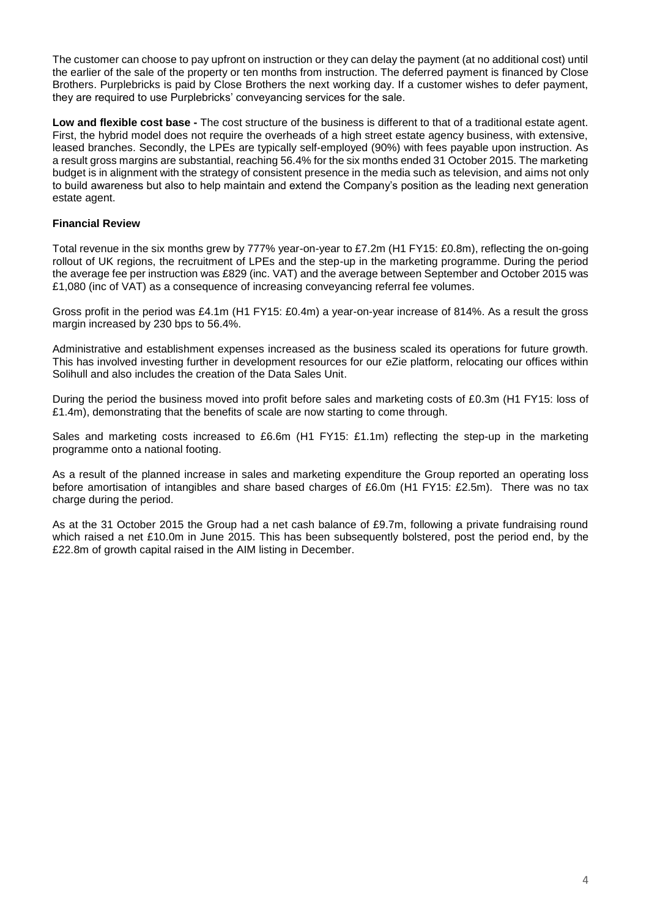The customer can choose to pay upfront on instruction or they can delay the payment (at no additional cost) until the earlier of the sale of the property or ten months from instruction. The deferred payment is financed by Close Brothers. Purplebricks is paid by Close Brothers the next working day. If a customer wishes to defer payment, they are required to use Purplebricks' conveyancing services for the sale.

**Low and flexible cost base -** The cost structure of the business is different to that of a traditional estate agent. First, the hybrid model does not require the overheads of a high street estate agency business, with extensive, leased branches. Secondly, the LPEs are typically self-employed (90%) with fees payable upon instruction. As a result gross margins are substantial, reaching 56.4% for the six months ended 31 October 2015. The marketing budget is in alignment with the strategy of consistent presence in the media such as television, and aims not only to build awareness but also to help maintain and extend the Company's position as the leading next generation estate agent.

### **Financial Review**

Total revenue in the six months grew by 777% year-on-year to £7.2m (H1 FY15: £0.8m), reflecting the on-going rollout of UK regions, the recruitment of LPEs and the step-up in the marketing programme. During the period the average fee per instruction was £829 (inc. VAT) and the average between September and October 2015 was £1,080 (inc of VAT) as a consequence of increasing conveyancing referral fee volumes.

Gross profit in the period was £4.1m (H1 FY15: £0.4m) a year-on-year increase of 814%. As a result the gross margin increased by 230 bps to 56.4%.

Administrative and establishment expenses increased as the business scaled its operations for future growth. This has involved investing further in development resources for our eZie platform, relocating our offices within Solihull and also includes the creation of the Data Sales Unit.

During the period the business moved into profit before sales and marketing costs of £0.3m (H1 FY15: loss of £1.4m), demonstrating that the benefits of scale are now starting to come through.

Sales and marketing costs increased to £6.6m (H1 FY15: £1.1m) reflecting the step-up in the marketing programme onto a national footing.

As a result of the planned increase in sales and marketing expenditure the Group reported an operating loss before amortisation of intangibles and share based charges of £6.0m (H1 FY15: £2.5m). There was no tax charge during the period.

As at the 31 October 2015 the Group had a net cash balance of £9.7m, following a private fundraising round which raised a net £10.0m in June 2015. This has been subsequently bolstered, post the period end, by the £22.8m of growth capital raised in the AIM listing in December.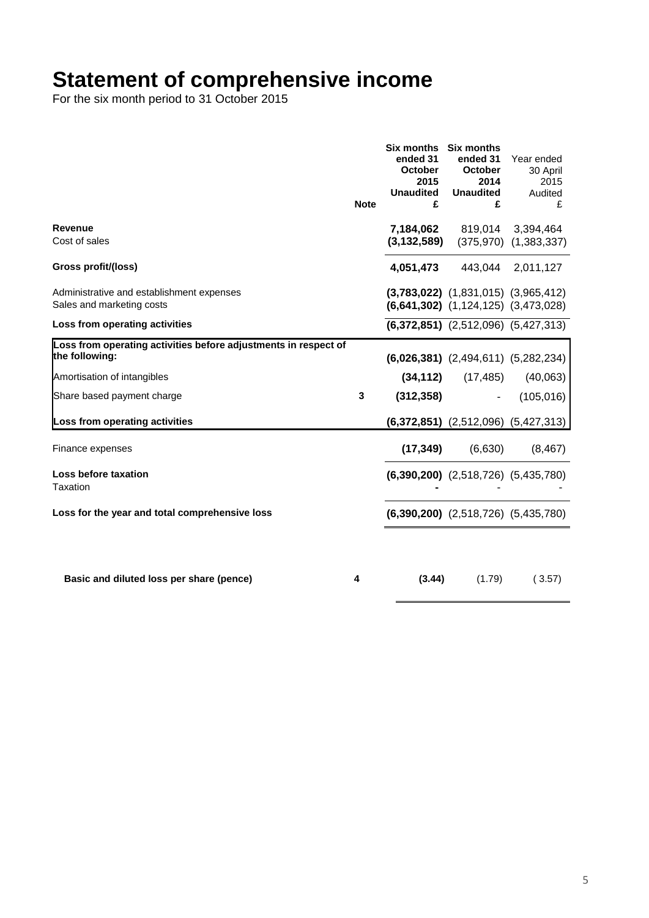### **Statement of comprehensive income**

For the six month period to 31 October 2015

|                                                                                   | <b>Note</b> | Six months Six months<br>ended 31<br><b>October</b><br>2015<br><b>Unaudited</b><br>£ | ended 31<br>October<br>2014<br><b>Unaudited</b><br>£                                   | Year ended<br>30 April<br>2015<br>Audited<br>£ |
|-----------------------------------------------------------------------------------|-------------|--------------------------------------------------------------------------------------|----------------------------------------------------------------------------------------|------------------------------------------------|
| Revenue<br>Cost of sales                                                          |             | (3, 132, 589)                                                                        | 7,184,062 819,014 3,394,464                                                            | $(375,970)$ $(1,383,337)$                      |
| Gross profit/(loss)                                                               |             | 4,051,473                                                                            | 443,044 2,011,127                                                                      |                                                |
| Administrative and establishment expenses<br>Sales and marketing costs            |             |                                                                                      | $(3,783,022)$ $(1,831,015)$ $(3,965,412)$<br>$(6,641,302)$ $(1,124,125)$ $(3,473,028)$ |                                                |
| Loss from operating activities                                                    |             |                                                                                      | $(6,372,851)$ $(2,512,096)$ $(5,427,313)$                                              |                                                |
| Loss from operating activities before adjustments in respect of<br>the following: |             |                                                                                      | $(6,026,381)$ $(2,494,611)$ $(5,282,234)$                                              |                                                |
| Amortisation of intangibles                                                       |             |                                                                                      | $(34, 112)$ $(17, 485)$                                                                | (40,063)                                       |
| Share based payment charge                                                        | 3           | (312, 358)                                                                           | $\sim$                                                                                 | (105, 016)                                     |
| Loss from operating activities                                                    |             |                                                                                      |                                                                                        | $(6,372,851)$ $(2,512,096)$ $(5,427,313)$      |
| Finance expenses                                                                  |             | (17, 349)                                                                            | (6,630)                                                                                | (8, 467)                                       |
| Loss before taxation<br><b>Taxation</b>                                           |             |                                                                                      | $(6,390,200)$ $(2,518,726)$ $(5,435,780)$                                              |                                                |
| Loss for the year and total comprehensive loss                                    |             |                                                                                      | $(6,390,200)$ $(2,518,726)$ $(5,435,780)$                                              |                                                |
|                                                                                   |             |                                                                                      |                                                                                        |                                                |
| Basic and diluted loss per share (pence)                                          | 4           | (3.44)                                                                               | (1.79)                                                                                 | (3.57)                                         |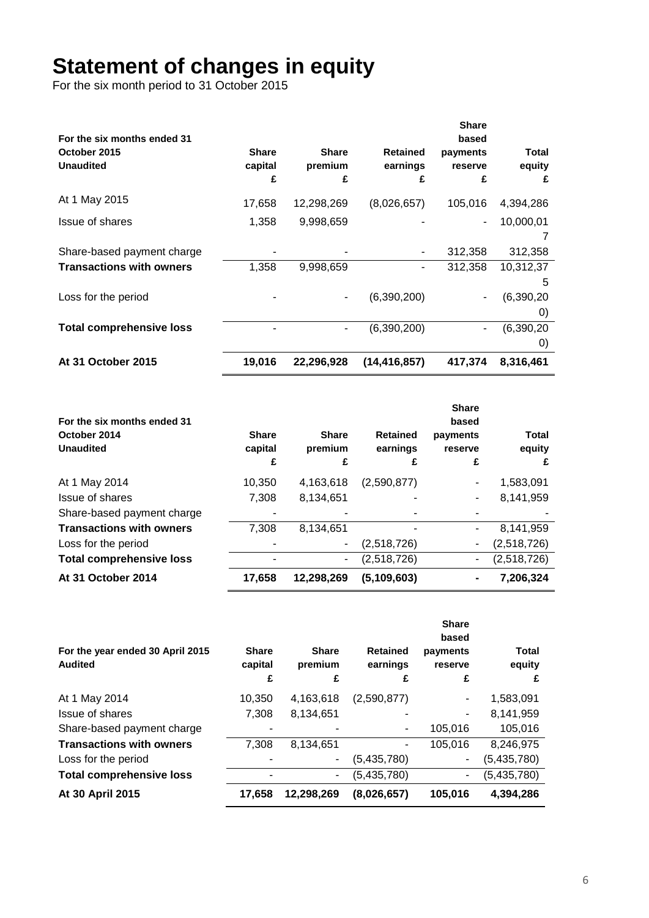# **Statement of changes in equity**

For the six month period to 31 October 2015

|                                                                 |                              |                              |                                  | <b>Share</b>                      |                                      |
|-----------------------------------------------------------------|------------------------------|------------------------------|----------------------------------|-----------------------------------|--------------------------------------|
| For the six months ended 31<br>October 2015<br><b>Unaudited</b> | <b>Share</b><br>capital<br>£ | <b>Share</b><br>premium<br>£ | <b>Retained</b><br>earnings<br>£ | based<br>payments<br>reserve<br>£ | <b>Total</b><br>equity<br>£          |
| At 1 May 2015                                                   | 17,658                       | 12,298,269                   | (8,026,657)                      | 105,016                           | 4,394,286                            |
| Issue of shares                                                 | 1,358                        | 9,998,659                    |                                  | ٠                                 | 10,000,01                            |
| Share-based payment charge                                      |                              |                              |                                  | 312,358                           | 312,358                              |
| <b>Transactions with owners</b>                                 | 1,358                        | 9,998,659                    |                                  | 312,358                           | 10,312,37                            |
| Loss for the period                                             |                              | ۰                            | (6,390,200)                      | ۰                                 | 5<br>(6,390,20)<br>$\left( 0\right)$ |
| <b>Total comprehensive loss</b>                                 |                              | -                            | (6,390,200)                      | -                                 | (6,390,20)<br>$\left( 0\right)$      |
| At 31 October 2015                                              | 19,016                       | 22,296,928                   | (14, 416, 857)                   | 417,374                           | 8,316,461                            |

| For the six months ended 31<br>October 2014<br><b>Unaudited</b> | <b>Share</b><br>capital<br>£ | <b>Share</b><br>premium<br>£ | <b>Retained</b><br>earnings<br>£ | <b>Share</b><br>based<br>payments<br>reserve<br>£ | <b>Total</b><br>equity<br>£ |
|-----------------------------------------------------------------|------------------------------|------------------------------|----------------------------------|---------------------------------------------------|-----------------------------|
| At 1 May 2014                                                   | 10,350                       | 4,163,618                    | (2,590,877)                      |                                                   | 1,583,091                   |
| Issue of shares                                                 | 7,308                        | 8,134,651                    |                                  |                                                   | 8,141,959                   |
| Share-based payment charge                                      |                              |                              |                                  |                                                   |                             |
| <b>Transactions with owners</b>                                 | 7,308                        | 8,134,651                    |                                  | ٠                                                 | 8.141.959                   |
| Loss for the period                                             |                              | ۰                            | (2,518,726)                      | ٠                                                 | (2,518,726)                 |
| <b>Total comprehensive loss</b>                                 |                              | -                            | (2,518,726)                      | ٠                                                 | (2,518,726)                 |
| At 31 October 2014                                              | 17.658                       | 12,298,269                   | (5, 109, 603)                    |                                                   | 7,206,324                   |

|                                                    |                              |                              |                                  | <b>Share</b><br>based    |                      |
|----------------------------------------------------|------------------------------|------------------------------|----------------------------------|--------------------------|----------------------|
| For the year ended 30 April 2015<br><b>Audited</b> | <b>Share</b><br>capital<br>£ | <b>Share</b><br>premium<br>£ | <b>Retained</b><br>earnings<br>£ | payments<br>reserve<br>£ | Total<br>equity<br>£ |
| At 1 May 2014                                      | 10,350                       | 4,163,618                    | (2,590,877)                      |                          | 1,583,091            |
| Issue of shares                                    | 7,308                        | 8,134,651                    | ۰                                | ۰                        | 8,141,959            |
| Share-based payment charge                         |                              |                              | ٠                                | 105,016                  | 105,016              |
| <b>Transactions with owners</b>                    | 7,308                        | 8,134,651                    | ۰                                | 105,016                  | 8,246,975            |
| Loss for the period                                |                              |                              | (5,435,780)                      | $\overline{\phantom{a}}$ | (5,435,780)          |
| <b>Total comprehensive loss</b>                    |                              | ۰                            | (5,435,780)                      | ٠                        | (5,435,780)          |
| At 30 April 2015                                   | 17.658                       | 12,298,269                   | (8,026,657)                      | 105,016                  | 4,394,286            |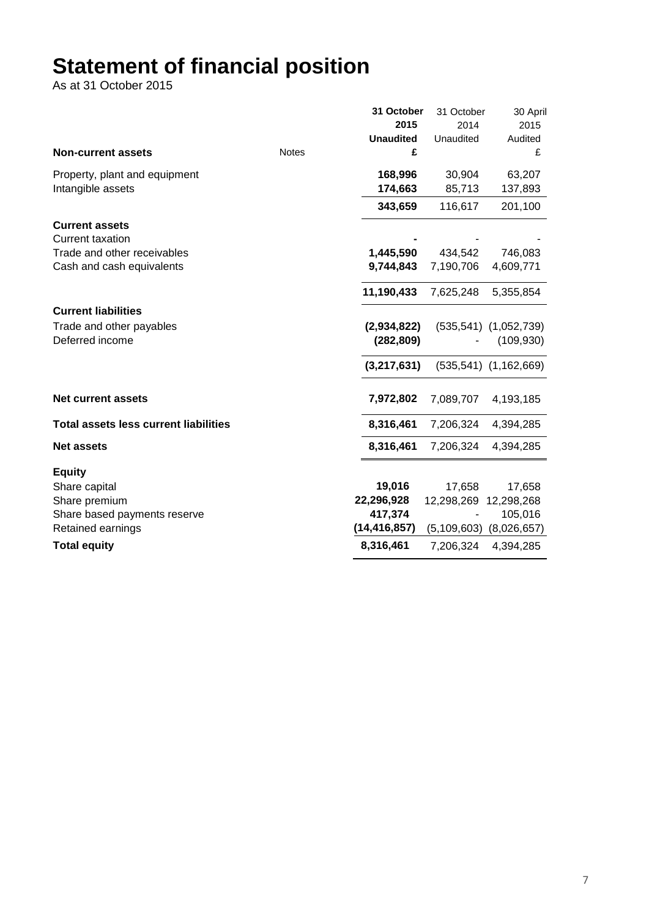# **Statement of financial position**

As at 31 October 2015

|                                              |              | 31 October       | 31 October    | 30 April                  |
|----------------------------------------------|--------------|------------------|---------------|---------------------------|
|                                              |              | 2015             | 2014          | 2015                      |
|                                              |              | <b>Unaudited</b> | Unaudited     | Audited                   |
| <b>Non-current assets</b>                    | <b>Notes</b> | £                |               | £                         |
| Property, plant and equipment                |              | 168,996          | 30,904        | 63,207                    |
| Intangible assets                            |              | 174,663          | 85,713        | 137,893                   |
|                                              |              | 343,659          | 116,617       | 201,100                   |
| <b>Current assets</b>                        |              |                  |               |                           |
| <b>Current taxation</b>                      |              |                  |               |                           |
| Trade and other receivables                  |              | 1,445,590        | 434,542       | 746,083                   |
| Cash and cash equivalents                    |              | 9,744,843        | 7,190,706     | 4,609,771                 |
|                                              |              | 11,190,433       | 7,625,248     | 5,355,854                 |
| <b>Current liabilities</b>                   |              |                  |               |                           |
| Trade and other payables                     |              | (2,934,822)      |               | $(535,541)$ $(1,052,739)$ |
| Deferred income                              |              | (282, 809)       |               | (109, 930)                |
|                                              |              | (3,217,631)      |               | $(535,541)$ $(1,162,669)$ |
| <b>Net current assets</b>                    |              | 7,972,802        | 7,089,707     | 4,193,185                 |
| <b>Total assets less current liabilities</b> |              | 8,316,461        | 7,206,324     | 4,394,285                 |
| <b>Net assets</b>                            |              | 8,316,461        | 7,206,324     | 4,394,285                 |
| <b>Equity</b>                                |              |                  |               |                           |
| Share capital                                |              | 19,016           | 17,658        | 17,658                    |
| Share premium                                |              | 22,296,928       | 12,298,269    | 12,298,268                |
| Share based payments reserve                 |              | 417,374          |               | 105,016                   |
| Retained earnings                            |              | (14,416,857)     | (5, 109, 603) | (8,026,657)               |
| <b>Total equity</b>                          |              | 8,316,461        | 7,206,324     | 4,394,285                 |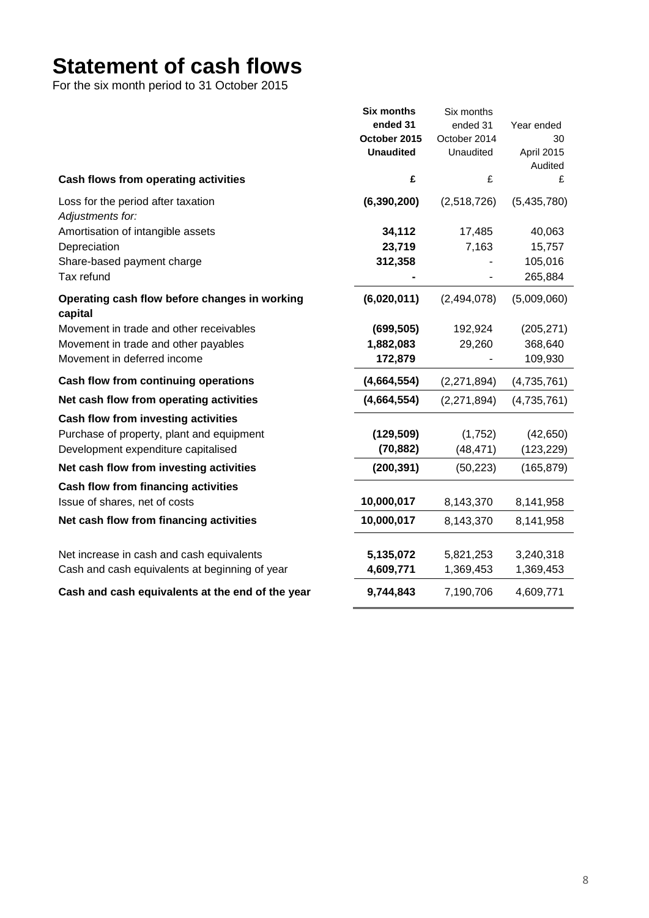# **Statement of cash flows**

For the six month period to 31 October 2015

|                                                          | <b>Six months</b> | Six months    |             |
|----------------------------------------------------------|-------------------|---------------|-------------|
|                                                          | ended 31          | ended 31      | Year ended  |
|                                                          | October 2015      | October 2014  | 30          |
|                                                          | <b>Unaudited</b>  | Unaudited     | April 2015  |
|                                                          |                   |               | Audited     |
| Cash flows from operating activities                     | £                 | £             | £           |
| Loss for the period after taxation                       | (6, 390, 200)     | (2,518,726)   | (5,435,780) |
| Adjustments for:                                         |                   |               |             |
| Amortisation of intangible assets                        | 34,112            | 17,485        | 40,063      |
| Depreciation                                             | 23,719            | 7,163         | 15,757      |
| Share-based payment charge                               | 312,358           |               | 105,016     |
| Tax refund                                               |                   |               | 265,884     |
| Operating cash flow before changes in working<br>capital | (6,020,011)       | (2,494,078)   | (5,009,060) |
| Movement in trade and other receivables                  | (699, 505)        | 192,924       | (205, 271)  |
| Movement in trade and other payables                     | 1,882,083         | 29,260        | 368,640     |
| Movement in deferred income                              | 172,879           |               | 109,930     |
| Cash flow from continuing operations                     | (4,664,554)       | (2,271,894)   | (4,735,761) |
| Net cash flow from operating activities                  | (4,664,554)       | (2, 271, 894) | (4,735,761) |
| Cash flow from investing activities                      |                   |               |             |
| Purchase of property, plant and equipment                | (129, 509)        | (1,752)       | (42, 650)   |
| Development expenditure capitalised                      | (70, 882)         | (48, 471)     | (123, 229)  |
| Net cash flow from investing activities                  | (200, 391)        | (50, 223)     | (165, 879)  |
| Cash flow from financing activities                      |                   |               |             |
| Issue of shares, net of costs                            | 10,000,017        | 8,143,370     | 8,141,958   |
| Net cash flow from financing activities                  | 10,000,017        | 8,143,370     | 8,141,958   |
| Net increase in cash and cash equivalents                | 5,135,072         | 5,821,253     | 3,240,318   |
| Cash and cash equivalents at beginning of year           | 4,609,771         | 1,369,453     | 1,369,453   |
|                                                          |                   |               |             |
| Cash and cash equivalents at the end of the year         | 9,744,843         | 7,190,706     | 4,609,771   |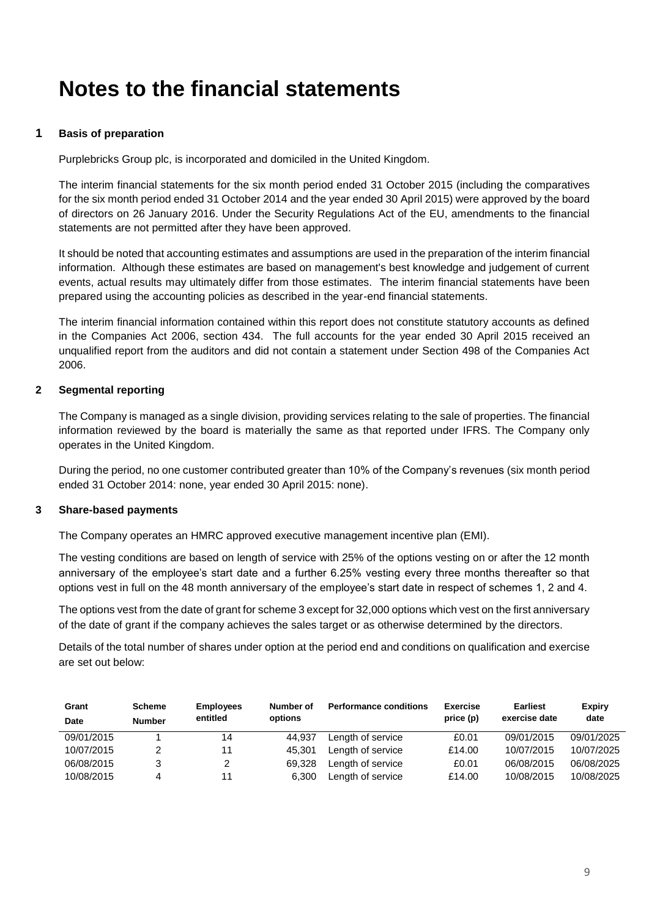## **Notes to the financial statements**

### **1 Basis of preparation**

Purplebricks Group plc, is incorporated and domiciled in the United Kingdom.

The interim financial statements for the six month period ended 31 October 2015 (including the comparatives for the six month period ended 31 October 2014 and the year ended 30 April 2015) were approved by the board of directors on 26 January 2016. Under the Security Regulations Act of the EU, amendments to the financial statements are not permitted after they have been approved.

It should be noted that accounting estimates and assumptions are used in the preparation of the interim financial information. Although these estimates are based on management's best knowledge and judgement of current events, actual results may ultimately differ from those estimates. The interim financial statements have been prepared using the accounting policies as described in the year-end financial statements.

The interim financial information contained within this report does not constitute statutory accounts as defined in the Companies Act 2006, section 434. The full accounts for the year ended 30 April 2015 received an unqualified report from the auditors and did not contain a statement under Section 498 of the Companies Act 2006.

### **2 Segmental reporting**

The Company is managed as a single division, providing services relating to the sale of properties. The financial information reviewed by the board is materially the same as that reported under IFRS. The Company only operates in the United Kingdom.

During the period, no one customer contributed greater than 10% of the Company's revenues (six month period ended 31 October 2014: none, year ended 30 April 2015: none).

### **3 Share-based payments**

The Company operates an HMRC approved executive management incentive plan (EMI).

The vesting conditions are based on length of service with 25% of the options vesting on or after the 12 month anniversary of the employee's start date and a further 6.25% vesting every three months thereafter so that options vest in full on the 48 month anniversary of the employee's start date in respect of schemes 1, 2 and 4.

The options vest from the date of grant for scheme 3 except for 32,000 options which vest on the first anniversary of the date of grant if the company achieves the sales target or as otherwise determined by the directors.

Details of the total number of shares under option at the period end and conditions on qualification and exercise are set out below:

| Grant      | <b>Scheme</b> | <b>Employees</b> | Number of | <b>Performance conditions</b> | Exercise  | <b>Earliest</b> | <b>Expiry</b> |
|------------|---------------|------------------|-----------|-------------------------------|-----------|-----------------|---------------|
| Date       | <b>Number</b> | entitled         | options   |                               | price (p) | exercise date   | date          |
| 09/01/2015 |               | 14               | 44.937    | Length of service             | £0.01     | 09/01/2015      | 09/01/2025    |
| 10/07/2015 |               | 11               | 45.301    | Length of service             | £14.00    | 10/07/2015      | 10/07/2025    |
| 06/08/2015 |               | 2                | 69.328    | Length of service             | £0.01     | 06/08/2015      | 06/08/2025    |
| 10/08/2015 |               | 11               | 6.300     | Length of service             | £14.00    | 10/08/2015      | 10/08/2025    |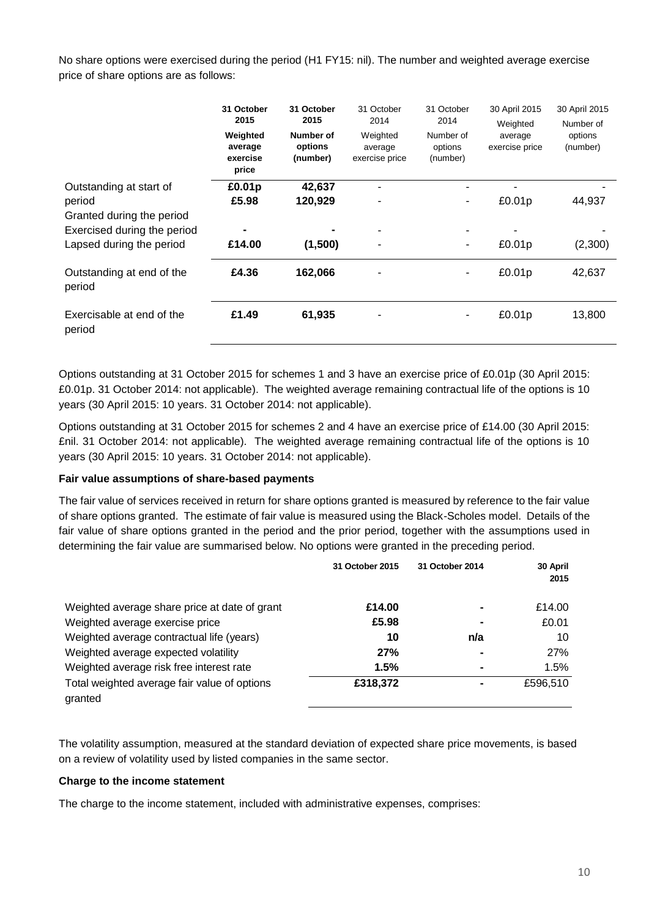No share options were exercised during the period (H1 FY15: nil). The number and weighted average exercise price of share options are as follows:

|                                     | 31 October<br>2015<br>Weighted<br>average<br>exercise<br>price | 31 October<br>2015<br>Number of<br>options<br>(number) | 31 October<br>2014<br>Weighted<br>average<br>exercise price | 31 October<br>2014<br>Number of<br>options<br>(number) | 30 April 2015<br>Weighted<br>average<br>exercise price | 30 April 2015<br>Number of<br>options<br>(number) |
|-------------------------------------|----------------------------------------------------------------|--------------------------------------------------------|-------------------------------------------------------------|--------------------------------------------------------|--------------------------------------------------------|---------------------------------------------------|
| Outstanding at start of             | £0.01p                                                         | 42,637                                                 |                                                             |                                                        |                                                        |                                                   |
| period                              | £5.98                                                          | 120,929                                                |                                                             |                                                        | £0.01p                                                 | 44,937                                            |
| Granted during the period           |                                                                |                                                        |                                                             |                                                        |                                                        |                                                   |
| Exercised during the period         |                                                                |                                                        |                                                             |                                                        |                                                        |                                                   |
| Lapsed during the period            | £14.00                                                         | (1,500)                                                |                                                             |                                                        | £0.01p                                                 | (2,300)                                           |
| Outstanding at end of the<br>period | £4.36                                                          | 162,066                                                |                                                             |                                                        | £0.01p                                                 | 42,637                                            |
| Exercisable at end of the<br>period | £1.49                                                          | 61,935                                                 |                                                             |                                                        | £0.01p                                                 | 13,800                                            |

Options outstanding at 31 October 2015 for schemes 1 and 3 have an exercise price of £0.01p (30 April 2015: £0.01p. 31 October 2014: not applicable). The weighted average remaining contractual life of the options is 10 years (30 April 2015: 10 years. 31 October 2014: not applicable).

Options outstanding at 31 October 2015 for schemes 2 and 4 have an exercise price of £14.00 (30 April 2015: £nil. 31 October 2014: not applicable). The weighted average remaining contractual life of the options is 10 years (30 April 2015: 10 years. 31 October 2014: not applicable).

### **Fair value assumptions of share-based payments**

The fair value of services received in return for share options granted is measured by reference to the fair value of share options granted. The estimate of fair value is measured using the Black-Scholes model. Details of the fair value of share options granted in the period and the prior period, together with the assumptions used in determining the fair value are summarised below. No options were granted in the preceding period.

|                                                         | 31 October 2015 | 31 October 2014 | 30 April<br>2015 |
|---------------------------------------------------------|-----------------|-----------------|------------------|
| Weighted average share price at date of grant           | £14.00          |                 | £14.00           |
| Weighted average exercise price                         | £5.98           |                 | £0.01            |
| Weighted average contractual life (years)               | 10              | n/a             | 10               |
| Weighted average expected volatility                    | 27%             |                 | 27%              |
| Weighted average risk free interest rate                | 1.5%            |                 | 1.5%             |
| Total weighted average fair value of options<br>granted | £318,372        |                 | £596.510         |

The volatility assumption, measured at the standard deviation of expected share price movements, is based on a review of volatility used by listed companies in the same sector.

### **Charge to the income statement**

The charge to the income statement, included with administrative expenses, comprises: